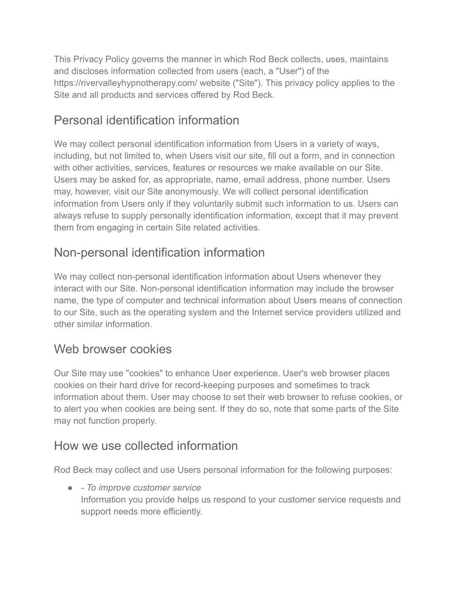This Privacy Policy governs the manner in which Rod Beck collects, uses, maintains and discloses information collected from users (each, a "User") of the https://rivervalleyhypnotherapy.com/ website ("Site"). This privacy policy applies to the Site and all products and services offered by Rod Beck.

# Personal identification information

We may collect personal identification information from Users in a variety of ways, including, but not limited to, when Users visit our site, fill out a form, and in connection with other activities, services, features or resources we make available on our Site. Users may be asked for, as appropriate, name, email address, phone number. Users may, however, visit our Site anonymously. We will collect personal identification information from Users only if they voluntarily submit such information to us. Users can always refuse to supply personally identification information, except that it may prevent them from engaging in certain Site related activities.

# Non-personal identification information

We may collect non-personal identification information about Users whenever they interact with our Site. Non-personal identification information may include the browser name, the type of computer and technical information about Users means of connection to our Site, such as the operating system and the Internet service providers utilized and other similar information.

# Web browser cookies

Our Site may use "cookies" to enhance User experience. User's web browser places cookies on their hard drive for record-keeping purposes and sometimes to track information about them. User may choose to set their web browser to refuse cookies, or to alert you when cookies are being sent. If they do so, note that some parts of the Site may not function properly.

### How we use collected information

Rod Beck may collect and use Users personal information for the following purposes:

● *- To improve customer service* Information you provide helps us respond to your customer service requests and support needs more efficiently.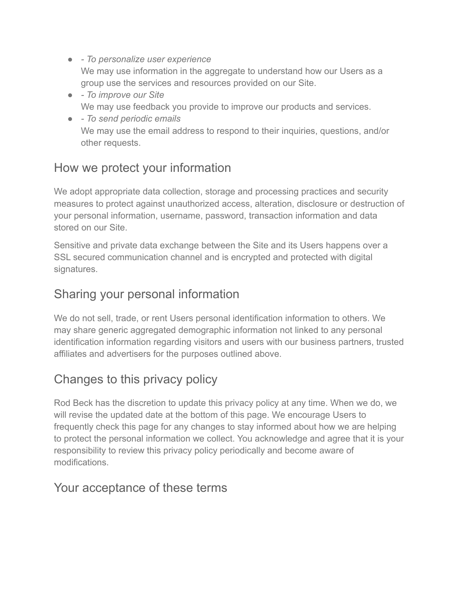- *To personalize user experience* We may use information in the aggregate to understand how our Users as a group use the services and resources provided on our Site.
- *To improve our Site* We may use feedback you provide to improve our products and services.
- *To send periodic emails* We may use the email address to respond to their inquiries, questions, and/or other requests.

### How we protect your information

We adopt appropriate data collection, storage and processing practices and security measures to protect against unauthorized access, alteration, disclosure or destruction of your personal information, username, password, transaction information and data stored on our Site.

Sensitive and private data exchange between the Site and its Users happens over a SSL secured communication channel and is encrypted and protected with digital signatures.

#### Sharing your personal information

We do not sell, trade, or rent Users personal identification information to others. We may share generic aggregated demographic information not linked to any personal identification information regarding visitors and users with our business partners, trusted affiliates and advertisers for the purposes outlined above.

### Changes to this privacy policy

Rod Beck has the discretion to update this privacy policy at any time. When we do, we will revise the updated date at the bottom of this page. We encourage Users to frequently check this page for any changes to stay informed about how we are helping to protect the personal information we collect. You acknowledge and agree that it is your responsibility to review this privacy policy periodically and become aware of modifications.

#### Your acceptance of these terms